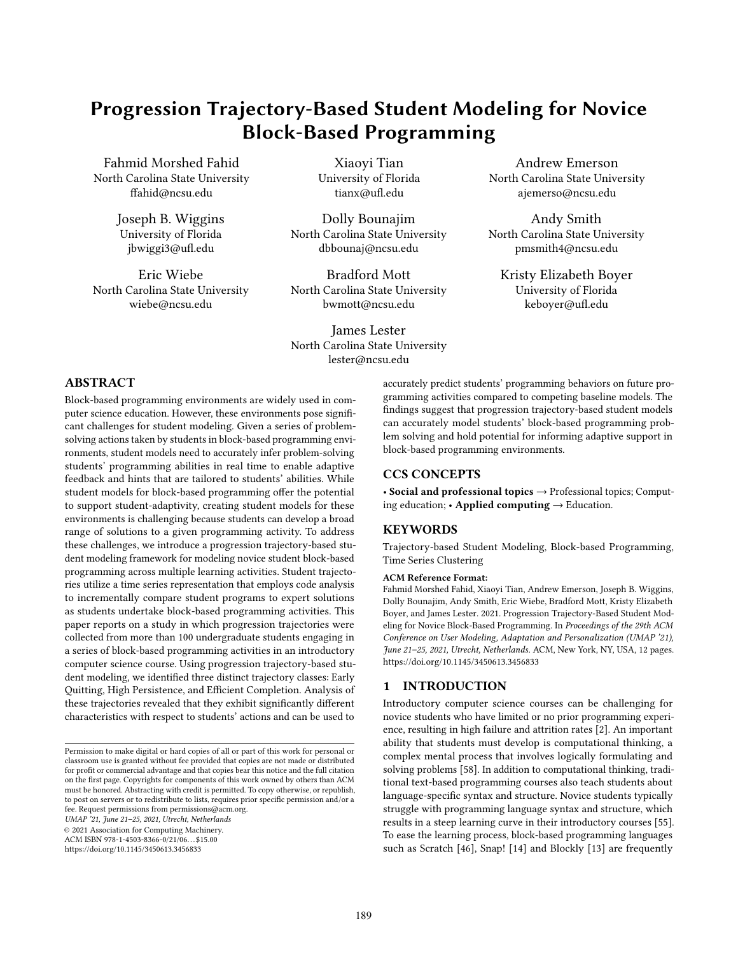# Progression Trajectory-Based Student Modeling for Novice Block-Based Programming

Fahmid Morshed Fahid North Carolina State University ffahid@ncsu.edu

> Joseph B. Wiggins University of Florida jbwiggi3@ufl.edu

Eric Wiebe North Carolina State University wiebe@ncsu.edu

Xiaoyi Tian University of Florida tianx@ufl.edu

Dolly Bounajim North Carolina State University dbbounaj@ncsu.edu

Bradford Mott North Carolina State University bwmott@ncsu.edu

James Lester North Carolina State University lester@ncsu.edu

Andrew Emerson North Carolina State University ajemerso@ncsu.edu

Andy Smith North Carolina State University pmsmith4@ncsu.edu

Kristy Elizabeth Boyer University of Florida keboyer@ufl.edu

# ABSTRACT

Block-based programming environments are widely used in computer science education. However, these environments pose significant challenges for student modeling. Given a series of problemsolving actions taken by students in block-based programming environments, student models need to accurately infer problem-solving students' programming abilities in real time to enable adaptive feedback and hints that are tailored to students' abilities. While student models for block-based programming offer the potential to support student-adaptivity, creating student models for these environments is challenging because students can develop a broad range of solutions to a given programming activity. To address these challenges, we introduce a progression trajectory-based student modeling framework for modeling novice student block-based programming across multiple learning activities. Student trajectories utilize a time series representation that employs code analysis to incrementally compare student programs to expert solutions as students undertake block-based programming activities. This paper reports on a study in which progression trajectories were collected from more than 100 undergraduate students engaging in a series of block-based programming activities in an introductory computer science course. Using progression trajectory-based student modeling, we identified three distinct trajectory classes: Early Quitting, High Persistence, and Efficient Completion. Analysis of these trajectories revealed that they exhibit significantly different characteristics with respect to students' actions and can be used to

UMAP '21, June 21–25, 2021, Utrecht, Netherlands

© 2021 Association for Computing Machinery.

ACM ISBN 978-1-4503-8366-0/21/06. . . \$15.00

<https://doi.org/10.1145/3450613.3456833>

accurately predict students' programming behaviors on future programming activities compared to competing baseline models. The findings suggest that progression trajectory-based student models can accurately model students' block-based programming problem solving and hold potential for informing adaptive support in block-based programming environments.

# CCS CONCEPTS

• Social and professional topics  $\rightarrow$  Professional topics; Computing education; • Applied computing  $\rightarrow$  Education.

# KEYWORDS

Trajectory-based Student Modeling, Block-based Programming, Time Series Clustering

#### ACM Reference Format:

Fahmid Morshed Fahid, Xiaoyi Tian, Andrew Emerson, Joseph B. Wiggins, Dolly Bounajim, Andy Smith, Eric Wiebe, Bradford Mott, Kristy Elizabeth Boyer, and James Lester. 2021. Progression Trajectory-Based Student Modeling for Novice Block-Based Programming. In Proceedings of the 29th ACM Conference on User Modeling, Adaptation and Personalization (UMAP '21), June 21–25, 2021, Utrecht, Netherlands. ACM, New York, NY, USA, [12](#page-11-0) pages. <https://doi.org/10.1145/3450613.3456833>

# 1 INTRODUCTION

Introductory computer science courses can be challenging for novice students who have limited or no prior programming experience, resulting in high failure and attrition rates [\[2\]](#page-10-0). An important ability that students must develop is computational thinking, a complex mental process that involves logically formulating and solving problems [\[58\]](#page-11-1). In addition to computational thinking, traditional text-based programming courses also teach students about language-specific syntax and structure. Novice students typically struggle with programming language syntax and structure, which results in a steep learning curve in their introductory courses [\[55\]](#page-11-2). To ease the learning process, block-based programming languages such as Scratch [\[46\]](#page-11-3), Snap! [\[14\]](#page-10-1) and Blockly [\[13\]](#page-10-2) are frequently

Permission to make digital or hard copies of all or part of this work for personal or classroom use is granted without fee provided that copies are not made or distributed for profit or commercial advantage and that copies bear this notice and the full citation on the first page. Copyrights for components of this work owned by others than ACM must be honored. Abstracting with credit is permitted. To copy otherwise, or republish, to post on servers or to redistribute to lists, requires prior specific permission and/or a fee. Request permissions from permissions@acm.org.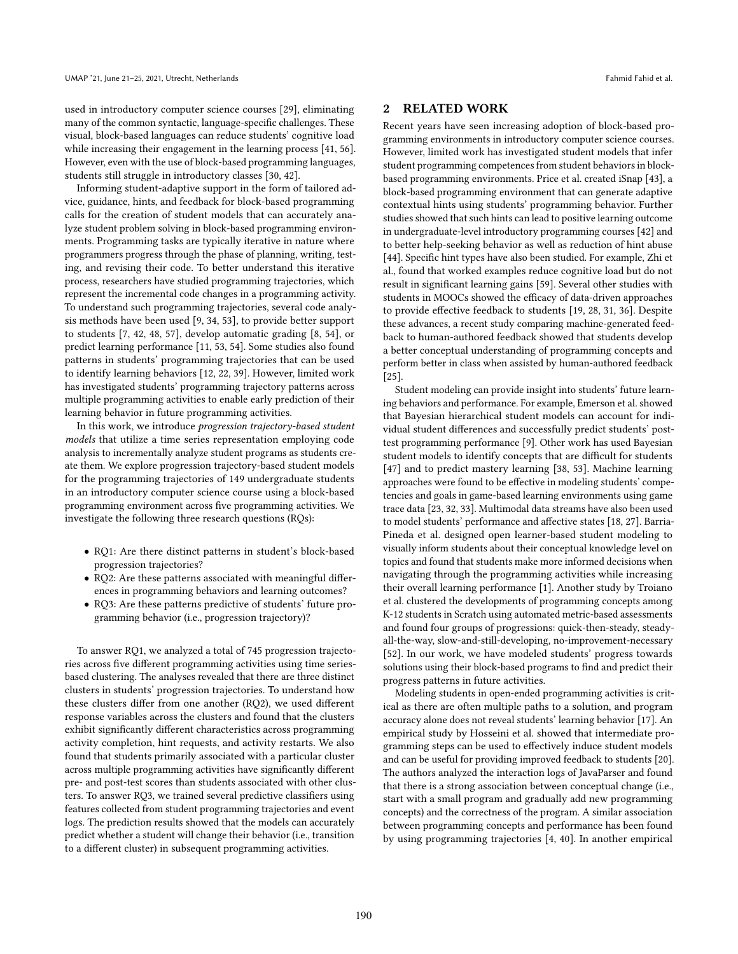used in introductory computer science courses [\[29\]](#page-10-3), eliminating many of the common syntactic, language-specific challenges. These visual, block-based languages can reduce students' cognitive load while increasing their engagement in the learning process [\[41,](#page-10-4) [56\]](#page-11-4). However, even with the use of block-based programming languages, students still struggle in introductory classes [\[30,](#page-10-5) [42\]](#page-10-6).

Informing student-adaptive support in the form of tailored advice, guidance, hints, and feedback for block-based programming calls for the creation of student models that can accurately analyze student problem solving in block-based programming environments. Programming tasks are typically iterative in nature where programmers progress through the phase of planning, writing, testing, and revising their code. To better understand this iterative process, researchers have studied programming trajectories, which represent the incremental code changes in a programming activity. To understand such programming trajectories, several code analysis methods have been used [\[9,](#page-10-7) [34,](#page-10-8) [53\]](#page-11-5), to provide better support to students [\[7,](#page-10-9) [42,](#page-10-6) [48,](#page-11-6) [57\]](#page-11-7), develop automatic grading [\[8,](#page-10-10) [54\]](#page-11-8), or predict learning performance [\[11,](#page-10-11) [53,](#page-11-5) [54\]](#page-11-8). Some studies also found patterns in students' programming trajectories that can be used to identify learning behaviors [\[12,](#page-10-12) [22,](#page-10-13) [39\]](#page-10-14). However, limited work has investigated students' programming trajectory patterns across multiple programming activities to enable early prediction of their learning behavior in future programming activities.

In this work, we introduce progression trajectory-based student models that utilize a time series representation employing code analysis to incrementally analyze student programs as students create them. We explore progression trajectory-based student models for the programming trajectories of 149 undergraduate students in an introductory computer science course using a block-based programming environment across five programming activities. We investigate the following three research questions (RQs):

- RQ1: Are there distinct patterns in student's block-based progression trajectories?
- RQ2: Are these patterns associated with meaningful differences in programming behaviors and learning outcomes?
- RQ3: Are these patterns predictive of students' future programming behavior (i.e., progression trajectory)?

To answer RQ1, we analyzed a total of 745 progression trajectories across five different programming activities using time seriesbased clustering. The analyses revealed that there are three distinct clusters in students' progression trajectories. To understand how these clusters differ from one another (RQ2), we used different response variables across the clusters and found that the clusters exhibit significantly different characteristics across programming activity completion, hint requests, and activity restarts. We also found that students primarily associated with a particular cluster across multiple programming activities have significantly different pre- and post-test scores than students associated with other clusters. To answer RQ3, we trained several predictive classifiers using features collected from student programming trajectories and event logs. The prediction results showed that the models can accurately predict whether a student will change their behavior (i.e., transition to a different cluster) in subsequent programming activities.

# 2 RELATED WORK

Recent years have seen increasing adoption of block-based programming environments in introductory computer science courses. However, limited work has investigated student models that infer student programming competences from student behaviors in blockbased programming environments. Price et al. created iSnap [\[43\]](#page-10-15), a block-based programming environment that can generate adaptive contextual hints using students' programming behavior. Further studies showed that such hints can lead to positive learning outcome in undergraduate-level introductory programming courses [\[42\]](#page-10-6) and to better help-seeking behavior as well as reduction of hint abuse [\[44\]](#page-11-9). Specific hint types have also been studied. For example, Zhi et al., found that worked examples reduce cognitive load but do not result in significant learning gains [\[59\]](#page-11-10). Several other studies with students in MOOCs showed the efficacy of data-driven approaches to provide effective feedback to students [\[19,](#page-10-16) [28,](#page-10-17) [31,](#page-10-18) [36\]](#page-10-19). Despite these advances, a recent study comparing machine-generated feedback to human-authored feedback showed that students develop a better conceptual understanding of programming concepts and perform better in class when assisted by human-authored feedback [\[25\]](#page-10-20).

Student modeling can provide insight into students' future learning behaviors and performance. For example, Emerson et al. showed that Bayesian hierarchical student models can account for individual student differences and successfully predict students' posttest programming performance [\[9\]](#page-10-7). Other work has used Bayesian student models to identify concepts that are difficult for students [\[47\]](#page-11-11) and to predict mastery learning [\[38,](#page-10-21) [53\]](#page-11-5). Machine learning approaches were found to be effective in modeling students' competencies and goals in game-based learning environments using game trace data [\[23,](#page-10-22) [32,](#page-10-23) [33\]](#page-10-24). Multimodal data streams have also been used to model students' performance and affective states [\[18,](#page-10-25) [27\]](#page-10-26). Barria-Pineda et al. designed open learner-based student modeling to visually inform students about their conceptual knowledge level on topics and found that students make more informed decisions when navigating through the programming activities while increasing their overall learning performance [\[1\]](#page-10-27). Another study by Troiano et al. clustered the developments of programming concepts among K-12 students in Scratch using automated metric-based assessments and found four groups of progressions: quick-then-steady, steadyall-the-way, slow-and-still-developing, no-improvement-necessary [\[52\]](#page-11-12). In our work, we have modeled students' progress towards solutions using their block-based programs to find and predict their progress patterns in future activities.

Modeling students in open-ended programming activities is critical as there are often multiple paths to a solution, and program accuracy alone does not reveal students' learning behavior [\[17\]](#page-10-28). An empirical study by Hosseini et al. showed that intermediate programming steps can be used to effectively induce student models and can be useful for providing improved feedback to students [\[20\]](#page-10-29). The authors analyzed the interaction logs of JavaParser and found that there is a strong association between conceptual change (i.e., start with a small program and gradually add new programming concepts) and the correctness of the program. A similar association between programming concepts and performance has been found by using programming trajectories [\[4,](#page-10-30) [40\]](#page-10-31). In another empirical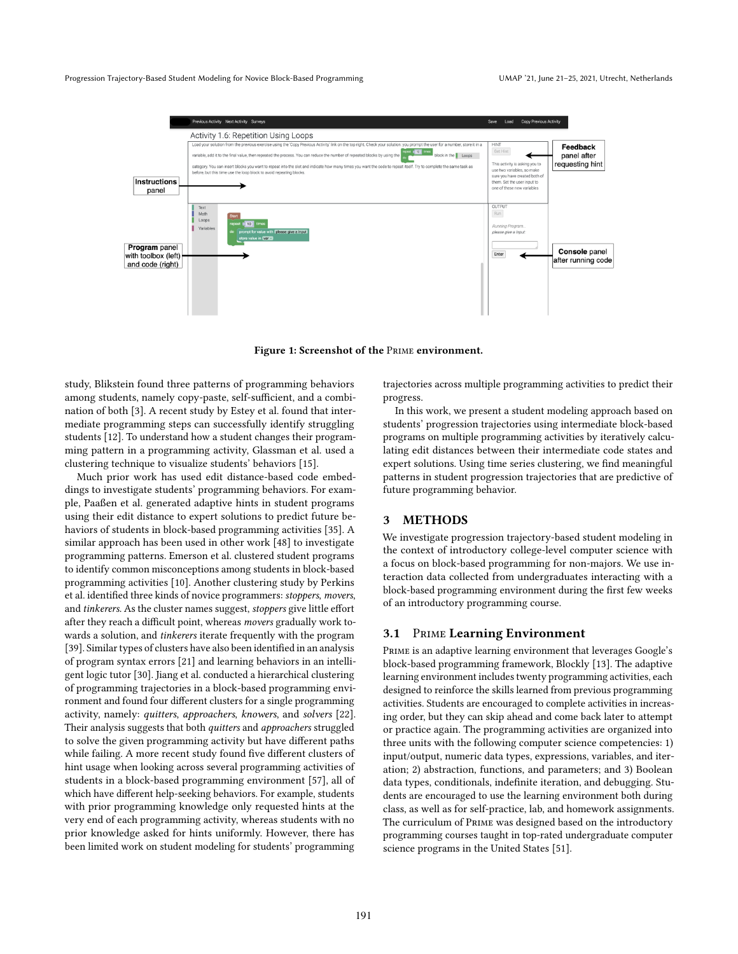<span id="page-2-0"></span>

Figure 1: Screenshot of the Prime environment.

study, Blikstein found three patterns of programming behaviors among students, namely copy-paste, self-sufficient, and a combination of both [\[3\]](#page-10-32). A recent study by Estey et al. found that intermediate programming steps can successfully identify struggling students [\[12\]](#page-10-12). To understand how a student changes their programming pattern in a programming activity, Glassman et al. used a clustering technique to visualize students' behaviors [\[15\]](#page-10-33).

Much prior work has used edit distance-based code embeddings to investigate students' programming behaviors. For example, Paaßen et al. generated adaptive hints in student programs using their edit distance to expert solutions to predict future behaviors of students in block-based programming activities [\[35\]](#page-10-34). A similar approach has been used in other work [\[48\]](#page-11-6) to investigate programming patterns. Emerson et al. clustered student programs to identify common misconceptions among students in block-based programming activities [\[10\]](#page-10-35). Another clustering study by Perkins et al. identified three kinds of novice programmers: stoppers, movers, and tinkerers. As the cluster names suggest, stoppers give little effort after they reach a difficult point, whereas movers gradually work towards a solution, and tinkerers iterate frequently with the program [\[39\]](#page-10-14). Similar types of clusters have also been identified in an analysis of program syntax errors [\[21\]](#page-10-36) and learning behaviors in an intelligent logic tutor [\[30\]](#page-10-5). Jiang et al. conducted a hierarchical clustering of programming trajectories in a block-based programming environment and found four different clusters for a single programming activity, namely: quitters, approachers, knowers, and solvers [\[22\]](#page-10-13). Their analysis suggests that both quitters and approachers struggled to solve the given programming activity but have different paths while failing. A more recent study found five different clusters of hint usage when looking across several programming activities of students in a block-based programming environment [\[57\]](#page-11-7), all of which have different help-seeking behaviors. For example, students with prior programming knowledge only requested hints at the very end of each programming activity, whereas students with no prior knowledge asked for hints uniformly. However, there has been limited work on student modeling for students' programming

trajectories across multiple programming activities to predict their progress.

In this work, we present a student modeling approach based on students' progression trajectories using intermediate block-based programs on multiple programming activities by iteratively calculating edit distances between their intermediate code states and expert solutions. Using time series clustering, we find meaningful patterns in student progression trajectories that are predictive of future programming behavior.

# 3 METHODS

We investigate progression trajectory-based student modeling in the context of introductory college-level computer science with a focus on block-based programming for non-majors. We use interaction data collected from undergraduates interacting with a block-based programming environment during the first few weeks of an introductory programming course.

# 3.1 Prime Learning Environment

Prime is an adaptive learning environment that leverages Google's block-based programming framework, Blockly [\[13\]](#page-10-2). The adaptive learning environment includes twenty programming activities, each designed to reinforce the skills learned from previous programming activities. Students are encouraged to complete activities in increasing order, but they can skip ahead and come back later to attempt or practice again. The programming activities are organized into three units with the following computer science competencies: 1) input/output, numeric data types, expressions, variables, and iteration; 2) abstraction, functions, and parameters; and 3) Boolean data types, conditionals, indefinite iteration, and debugging. Students are encouraged to use the learning environment both during class, as well as for self-practice, lab, and homework assignments. The curriculum of Prime was designed based on the introductory programming courses taught in top-rated undergraduate computer science programs in the United States [\[51\]](#page-11-13).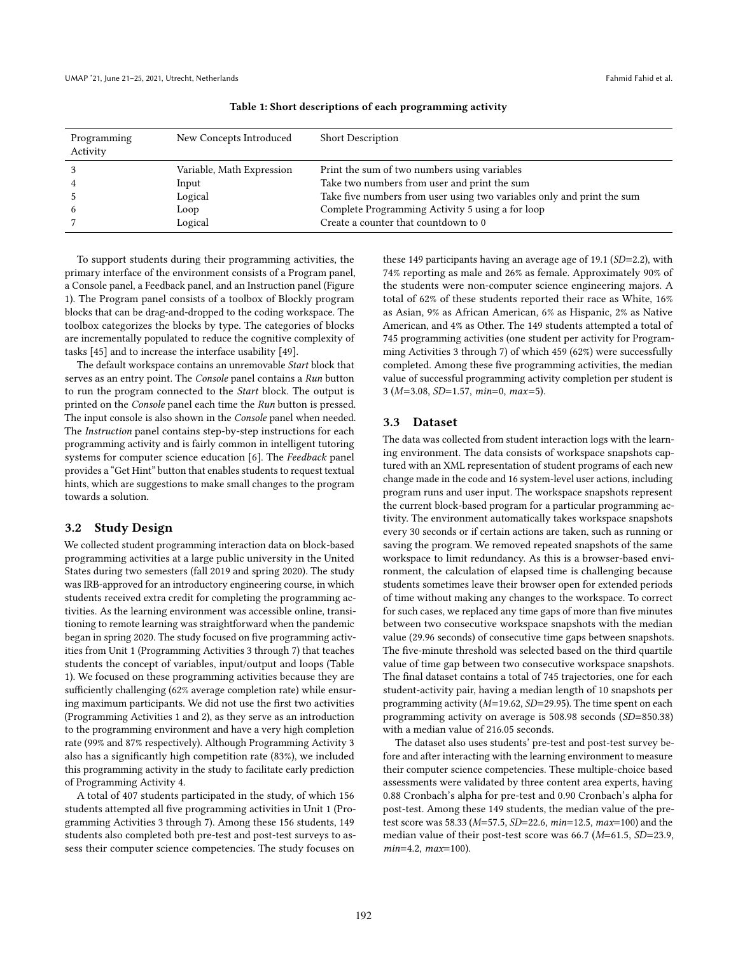<span id="page-3-0"></span>

| Programming<br>Activity | New Concepts Introduced   | <b>Short Description</b>                                               |
|-------------------------|---------------------------|------------------------------------------------------------------------|
|                         | Variable, Math Expression | Print the sum of two numbers using variables                           |
|                         | Input                     | Take two numbers from user and print the sum                           |
|                         | Logical                   | Take five numbers from user using two variables only and print the sum |
|                         | Loop                      | Complete Programming Activity 5 using a for loop                       |
|                         | Logical                   | Create a counter that countdown to 0                                   |

### Table 1: Short descriptions of each programming activity

To support students during their programming activities, the primary interface of the environment consists of a Program panel, a Console panel, a Feedback panel, and an Instruction panel (Figure [1\)](#page-2-0). The Program panel consists of a toolbox of Blockly program blocks that can be drag-and-dropped to the coding workspace. The toolbox categorizes the blocks by type. The categories of blocks are incrementally populated to reduce the cognitive complexity of tasks [\[45\]](#page-11-14) and to increase the interface usability [\[49\]](#page-11-15).

The default workspace contains an unremovable Start block that serves as an entry point. The Console panel contains a Run button to run the program connected to the Start block. The output is printed on the Console panel each time the Run button is pressed. The input console is also shown in the Console panel when needed. The Instruction panel contains step-by-step instructions for each programming activity and is fairly common in intelligent tutoring systems for computer science education [\[6\]](#page-10-37). The Feedback panel provides a "Get Hint" button that enables students to request textual hints, which are suggestions to make small changes to the program towards a solution.

# 3.2 Study Design

We collected student programming interaction data on block-based programming activities at a large public university in the United States during two semesters (fall 2019 and spring 2020). The study was IRB-approved for an introductory engineering course, in which students received extra credit for completing the programming activities. As the learning environment was accessible online, transitioning to remote learning was straightforward when the pandemic began in spring 2020. The study focused on five programming activities from Unit 1 (Programming Activities 3 through 7) that teaches students the concept of variables, input/output and loops (Table [1\)](#page-3-0). We focused on these programming activities because they are sufficiently challenging (62% average completion rate) while ensuring maximum participants. We did not use the first two activities (Programming Activities 1 and 2), as they serve as an introduction to the programming environment and have a very high completion rate (99% and 87% respectively). Although Programming Activity 3 also has a significantly high competition rate (83%), we included this programming activity in the study to facilitate early prediction of Programming Activity 4.

A total of 407 students participated in the study, of which 156 students attempted all five programming activities in Unit 1 (Programming Activities 3 through 7). Among these 156 students, 149 students also completed both pre-test and post-test surveys to assess their computer science competencies. The study focuses on

these 149 participants having an average age of 19.1 (SD=2.2), with 74% reporting as male and 26% as female. Approximately 90% of the students were non-computer science engineering majors. A total of 62% of these students reported their race as White, 16% as Asian, 9% as African American, 6% as Hispanic, 2% as Native American, and 4% as Other. The 149 students attempted a total of 745 programming activities (one student per activity for Programming Activities 3 through 7) of which 459 (62%) were successfully completed. Among these five programming activities, the median value of successful programming activity completion per student is 3 (M=3.08, SD=1.57, min=0, max=5).

# 3.3 Dataset

The data was collected from student interaction logs with the learning environment. The data consists of workspace snapshots captured with an XML representation of student programs of each new change made in the code and 16 system-level user actions, including program runs and user input. The workspace snapshots represent the current block-based program for a particular programming activity. The environment automatically takes workspace snapshots every 30 seconds or if certain actions are taken, such as running or saving the program. We removed repeated snapshots of the same workspace to limit redundancy. As this is a browser-based environment, the calculation of elapsed time is challenging because students sometimes leave their browser open for extended periods of time without making any changes to the workspace. To correct for such cases, we replaced any time gaps of more than five minutes between two consecutive workspace snapshots with the median value (29.96 seconds) of consecutive time gaps between snapshots. The five-minute threshold was selected based on the third quartile value of time gap between two consecutive workspace snapshots. The final dataset contains a total of 745 trajectories, one for each student-activity pair, having a median length of 10 snapshots per programming activity (M=19.62, SD=29.95). The time spent on each programming activity on average is 508.98 seconds (SD=850.38) with a median value of 216.05 seconds.

The dataset also uses students' pre-test and post-test survey before and after interacting with the learning environment to measure their computer science competencies. These multiple-choice based assessments were validated by three content area experts, having 0.88 Cronbach's alpha for pre-test and 0.90 Cronbach's alpha for post-test. Among these 149 students, the median value of the pretest score was 58.33 (M=57.5, SD=22.6, min=12.5, max=100) and the median value of their post-test score was 66.7 (M=61.5, SD=23.9, min=4.2, max=100).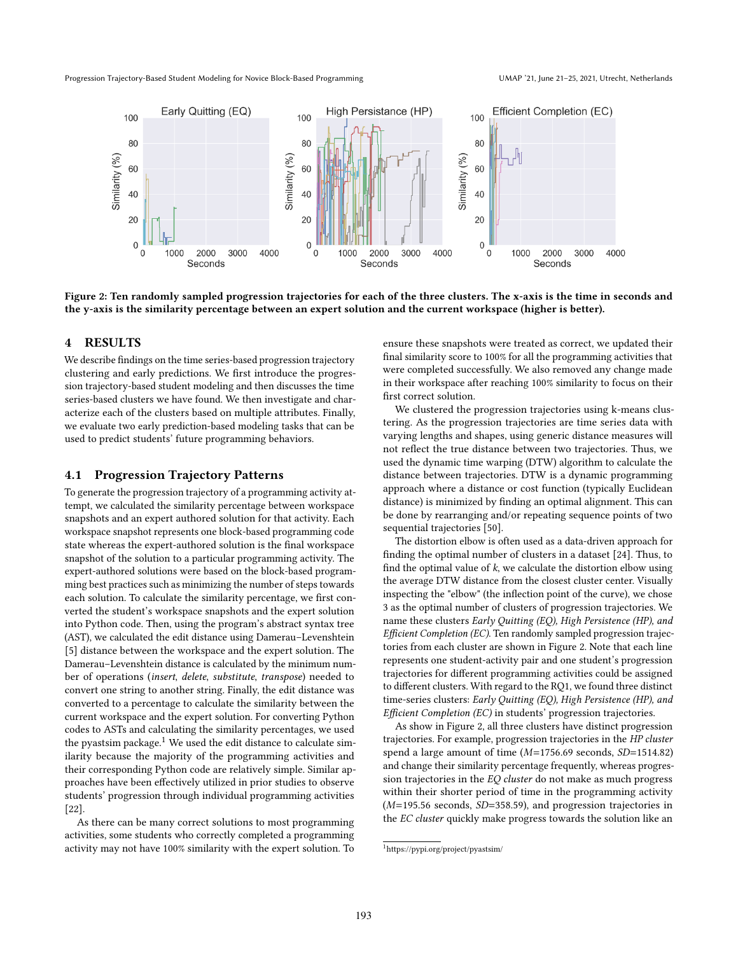<span id="page-4-1"></span>Progression Trajectory-Based Student Modeling for Novice Block-Based Programming UMAP '21, June 21-25, 2021, Utrecht, Netherlands



Figure 2: Ten randomly sampled progression trajectories for each of the three clusters. The x-axis is the time in seconds and the y-axis is the similarity percentage between an expert solution and the current workspace (higher is better).

#### 4 RESULTS

We describe findings on the time series-based progression trajectory clustering and early predictions. We first introduce the progression trajectory-based student modeling and then discusses the time series-based clusters we have found. We then investigate and characterize each of the clusters based on multiple attributes. Finally, we evaluate two early prediction-based modeling tasks that can be used to predict students' future programming behaviors.

# 4.1 Progression Trajectory Patterns

To generate the progression trajectory of a programming activity attempt, we calculated the similarity percentage between workspace snapshots and an expert authored solution for that activity. Each workspace snapshot represents one block-based programming code state whereas the expert-authored solution is the final workspace snapshot of the solution to a particular programming activity. The expert-authored solutions were based on the block-based programming best practices such as minimizing the number of steps towards each solution. To calculate the similarity percentage, we first converted the student's workspace snapshots and the expert solution into Python code. Then, using the program's abstract syntax tree (AST), we calculated the edit distance using Damerau–Levenshtein [\[5\]](#page-10-38) distance between the workspace and the expert solution. The Damerau–Levenshtein distance is calculated by the minimum number of operations (insert, delete, substitute, transpose) needed to convert one string to another string. Finally, the edit distance was converted to a percentage to calculate the similarity between the current workspace and the expert solution. For converting Python codes to ASTs and calculating the similarity percentages, we used the pyastsim package. $1$  We used the edit distance to calculate similarity because the majority of the programming activities and their corresponding Python code are relatively simple. Similar approaches have been effectively utilized in prior studies to observe students' progression through individual programming activities [\[22\]](#page-10-13).

As there can be many correct solutions to most programming activities, some students who correctly completed a programming activity may not have 100% similarity with the expert solution. To ensure these snapshots were treated as correct, we updated their final similarity score to 100% for all the programming activities that were completed successfully. We also removed any change made in their workspace after reaching 100% similarity to focus on their first correct solution.

We clustered the progression trajectories using k-means clustering. As the progression trajectories are time series data with varying lengths and shapes, using generic distance measures will not reflect the true distance between two trajectories. Thus, we used the dynamic time warping (DTW) algorithm to calculate the distance between trajectories. DTW is a dynamic programming approach where a distance or cost function (typically Euclidean distance) is minimized by finding an optimal alignment. This can be done by rearranging and/or repeating sequence points of two sequential trajectories [\[50\]](#page-11-16).

The distortion elbow is often used as a data-driven approach for finding the optimal number of clusters in a dataset [\[24\]](#page-10-39). Thus, to find the optimal value of  $k$ , we calculate the distortion elbow using the average DTW distance from the closest cluster center. Visually inspecting the "elbow" (the inflection point of the curve), we chose 3 as the optimal number of clusters of progression trajectories. We name these clusters Early Quitting (EQ), High Persistence (HP), and Efficient Completion (EC). Ten randomly sampled progression trajectories from each cluster are shown in Figure [2.](#page-4-1) Note that each line represents one student-activity pair and one student's progression trajectories for different programming activities could be assigned to different clusters. With regard to the RQ1, we found three distinct time-series clusters: Early Quitting (EQ), High Persistence (HP), and Efficient Completion (EC) in students' progression trajectories.

As show in Figure [2,](#page-4-1) all three clusters have distinct progression trajectories. For example, progression trajectories in the HP cluster spend a large amount of time (M=1756.69 seconds, SD=1514.82) and change their similarity percentage frequently, whereas progression trajectories in the EQ cluster do not make as much progress within their shorter period of time in the programming activity  $(M=195.56$  seconds,  $SD=358.59$ ), and progression trajectories in the EC cluster quickly make progress towards the solution like an

<span id="page-4-0"></span><sup>1</sup><https://pypi.org/project/pyastsim/>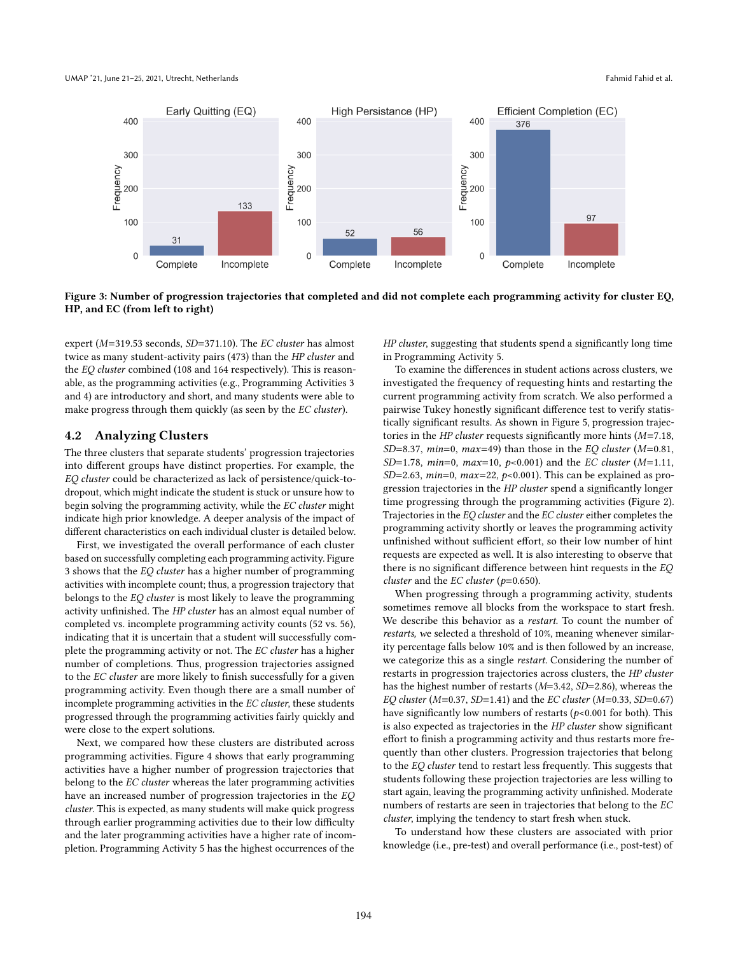<span id="page-5-0"></span>

Figure 3: Number of progression trajectories that completed and did not complete each programming activity for cluster EQ, HP, and EC (from left to right)

expert (M=319.53 seconds, SD=371.10). The EC cluster has almost twice as many student-activity pairs (473) than the HP cluster and the EQ cluster combined (108 and 164 respectively). This is reasonable, as the programming activities (e.g., Programming Activities 3 and 4) are introductory and short, and many students were able to make progress through them quickly (as seen by the EC cluster).

# 4.2 Analyzing Clusters

The three clusters that separate students' progression trajectories into different groups have distinct properties. For example, the EQ cluster could be characterized as lack of persistence/quick-todropout, which might indicate the student is stuck or unsure how to begin solving the programming activity, while the EC cluster might indicate high prior knowledge. A deeper analysis of the impact of different characteristics on each individual cluster is detailed below.

First, we investigated the overall performance of each cluster based on successfully completing each programming activity. Figure [3](#page-5-0) shows that the EQ cluster has a higher number of programming activities with incomplete count; thus, a progression trajectory that belongs to the EQ cluster is most likely to leave the programming activity unfinished. The HP cluster has an almost equal number of completed vs. incomplete programming activity counts (52 vs. 56), indicating that it is uncertain that a student will successfully complete the programming activity or not. The EC cluster has a higher number of completions. Thus, progression trajectories assigned to the EC cluster are more likely to finish successfully for a given programming activity. Even though there are a small number of incomplete programming activities in the EC cluster, these students progressed through the programming activities fairly quickly and were close to the expert solutions.

Next, we compared how these clusters are distributed across programming activities. Figure [4](#page-6-0) shows that early programming activities have a higher number of progression trajectories that belong to the EC cluster whereas the later programming activities have an increased number of progression trajectories in the EQ cluster. This is expected, as many students will make quick progress through earlier programming activities due to their low difficulty and the later programming activities have a higher rate of incompletion. Programming Activity 5 has the highest occurrences of the

HP cluster, suggesting that students spend a significantly long time in Programming Activity 5.

To examine the differences in student actions across clusters, we investigated the frequency of requesting hints and restarting the current programming activity from scratch. We also performed a pairwise Tukey honestly significant difference test to verify statistically significant results. As shown in Figure [5,](#page-7-0) progression trajectories in the  $HP$  cluster requests significantly more hints ( $M=7.18$ , SD=8.37, min=0, max=49) than those in the EQ cluster ( $M=0.81$ , SD=1.78, min=0, max=10, p<0.001) and the EC cluster (M=1.11, SD=2.63,  $min=0$ ,  $max=22$ ,  $p<0.001$ ). This can be explained as progression trajectories in the HP cluster spend a significantly longer time progressing through the programming activities (Figure [2\)](#page-4-1). Trajectories in the EQ cluster and the EC cluster either completes the programming activity shortly or leaves the programming activity unfinished without sufficient effort, so their low number of hint requests are expected as well. It is also interesting to observe that there is no significant difference between hint requests in the EQ cluster and the  $EC$  cluster ( $p=0.650$ ).

When progressing through a programming activity, students sometimes remove all blocks from the workspace to start fresh. We describe this behavior as a restart. To count the number of restarts, we selected a threshold of 10%, meaning whenever similarity percentage falls below 10% and is then followed by an increase, we categorize this as a single restart. Considering the number of restarts in progression trajectories across clusters, the HP cluster has the highest number of restarts (M=3.42, SD=2.86), whereas the EQ cluster ( $M=0.37$ , SD=1.41) and the EC cluster ( $M=0.33$ , SD=0.67) have significantly low numbers of restarts ( $p$ <0.001 for both). This is also expected as trajectories in the HP cluster show significant effort to finish a programming activity and thus restarts more frequently than other clusters. Progression trajectories that belong to the EQ cluster tend to restart less frequently. This suggests that students following these projection trajectories are less willing to start again, leaving the programming activity unfinished. Moderate numbers of restarts are seen in trajectories that belong to the EC cluster, implying the tendency to start fresh when stuck.

To understand how these clusters are associated with prior knowledge (i.e., pre-test) and overall performance (i.e., post-test) of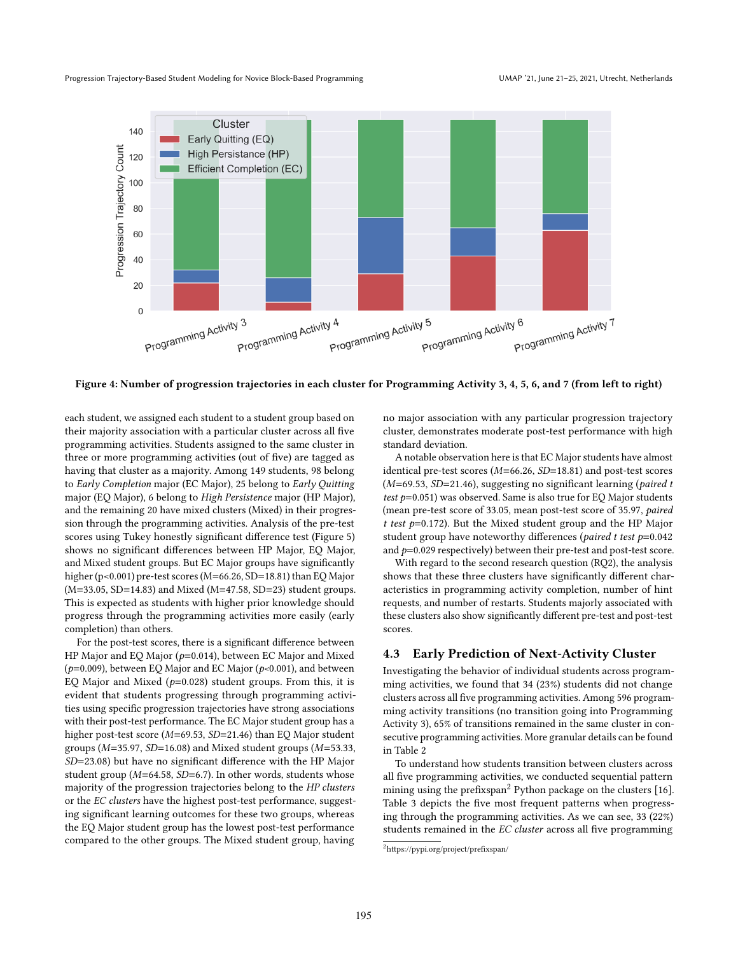<span id="page-6-0"></span>

Figure 4: Number of progression trajectories in each cluster for Programming Activity 3, 4, 5, 6, and 7 (from left to right)

each student, we assigned each student to a student group based on their majority association with a particular cluster across all five programming activities. Students assigned to the same cluster in three or more programming activities (out of five) are tagged as having that cluster as a majority. Among 149 students, 98 belong to Early Completion major (EC Major), 25 belong to Early Quitting major (EQ Major), 6 belong to High Persistence major (HP Major), and the remaining 20 have mixed clusters (Mixed) in their progression through the programming activities. Analysis of the pre-test scores using Tukey honestly significant difference test (Figure [5\)](#page-7-0) shows no significant differences between HP Major, EQ Major, and Mixed student groups. But EC Major groups have significantly higher (p<0.001) pre-test scores (M=66.26, SD=18.81) than EQ Major (M=33.05, SD=14.83) and Mixed (M=47.58, SD=23) student groups. This is expected as students with higher prior knowledge should progress through the programming activities more easily (early completion) than others.

For the post-test scores, there is a significant difference between HP Major and EQ Major ( $p=0.014$ ), between EC Major and Mixed ( $p=0.009$ ), between EQ Major and EC Major ( $p<0.001$ ), and between EQ Major and Mixed ( $p=0.028$ ) student groups. From this, it is evident that students progressing through programming activities using specific progression trajectories have strong associations with their post-test performance. The EC Major student group has a higher post-test score ( $M=69.53$ ,  $SD=21.46$ ) than EQ Major student groups ( $M=35.97$ ,  $SD=16.08$ ) and Mixed student groups ( $M=53.33$ , SD=23.08) but have no significant difference with the HP Major student group (M=64.58, SD=6.7). In other words, students whose majority of the progression trajectories belong to the HP clusters or the EC clusters have the highest post-test performance, suggesting significant learning outcomes for these two groups, whereas the EQ Major student group has the lowest post-test performance compared to the other groups. The Mixed student group, having

no major association with any particular progression trajectory cluster, demonstrates moderate post-test performance with high standard deviation.

A notable observation here is that EC Major students have almost identical pre-test scores (M=66.26, SD=18.81) and post-test scores  $(M=69.53, SD=21.46)$ , suggesting no significant learning (paired t test  $p=0.051$ ) was observed. Same is also true for EQ Major students (mean pre-test score of 33.05, mean post-test score of 35.97, paired t test  $p=0.172$ ). But the Mixed student group and the HP Major student group have noteworthy differences (paired t test  $p=0.042$ and  $p=0.029$  respectively) between their pre-test and post-test score.

With regard to the second research question (RQ2), the analysis shows that these three clusters have significantly different characteristics in programming activity completion, number of hint requests, and number of restarts. Students majorly associated with these clusters also show significantly different pre-test and post-test scores.

# 4.3 Early Prediction of Next-Activity Cluster

Investigating the behavior of individual students across programming activities, we found that 34 (23%) students did not change clusters across all five programming activities. Among 596 programming activity transitions (no transition going into Programming Activity 3), 65% of transitions remained in the same cluster in consecutive programming activities. More granular details can be found in Table [2](#page-7-1)

To understand how students transition between clusters across all five programming activities, we conducted sequential pattern mining using the prefixspan<sup>[2](#page-6-1)</sup> Python package on the clusters [\[16\]](#page-10-40). Table [3](#page-7-2) depicts the five most frequent patterns when progressing through the programming activities. As we can see, 33 (22%) students remained in the EC cluster across all five programming

<span id="page-6-1"></span><sup>2</sup><https://pypi.org/project/prefixspan/>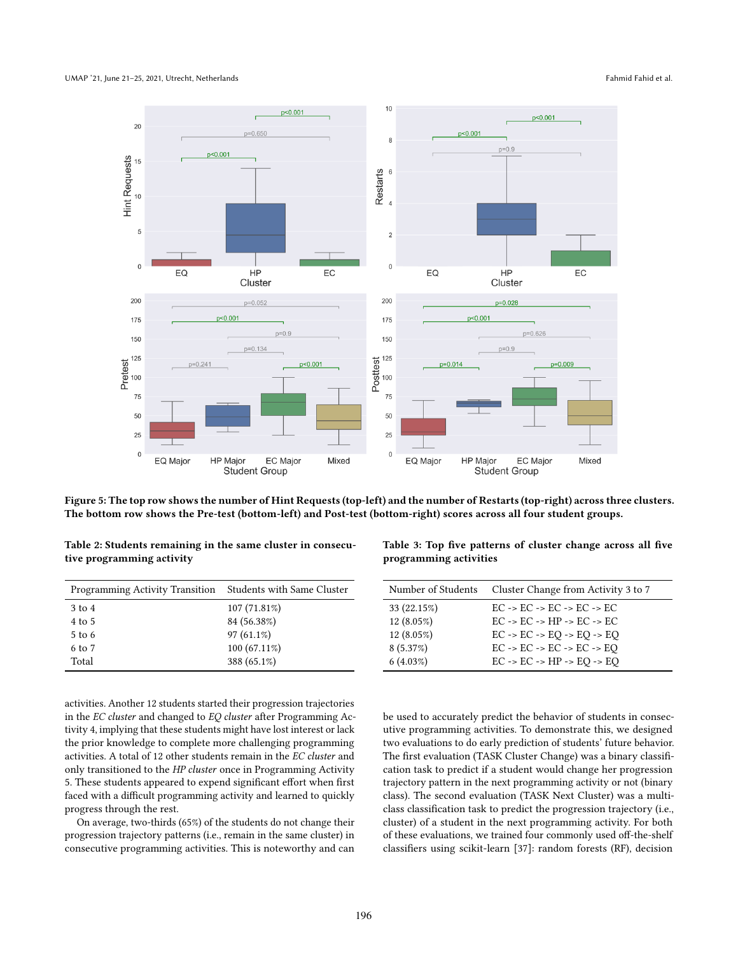### <span id="page-7-0"></span>UMAP '21, June 21–25, 2021, Utrecht, Netherlands Fahmid Fahid et al.



Figure 5: The top row shows the number of Hint Requests (top-left) and the number of Restarts (top-right) across three clusters. The bottom row shows the Pre-test (bottom-left) and Post-test (bottom-right) scores across all four student groups.

<span id="page-7-1"></span>

| Table 2: Students remaining in the same cluster in consecu- |  |  |
|-------------------------------------------------------------|--|--|
| tive programming activity                                   |  |  |

| <b>Programming Activity Transition</b> | Students with Same Cluster | Number of Students | Cluster Change from Activity 3 to 7                              |
|----------------------------------------|----------------------------|--------------------|------------------------------------------------------------------|
| $3$ to $4$                             | 107(71.81%)                | $33(22.15\%)$      | $EC \rightarrow EC \rightarrow EC \rightarrow EC \rightarrow EC$ |
| $4$ to $5$                             | 84 (56.38%)                | $12(8.05\%)$       | $EC \rightarrow EC \rightarrow HP \rightarrow EC \rightarrow EC$ |
| $5$ to 6                               | $97(61.1\%)$               | $12(8.05\%)$       | $EC \rightarrow EC \rightarrow EO \rightarrow EO \rightarrow EO$ |
| 6 to 7                                 | $100(67.11\%)$             | 8(5.37%)           | $EC \rightarrow EC \rightarrow EC \rightarrow EC \rightarrow EO$ |
| Total                                  | 388 (65.1%)                | 6(4.03%)           | $EC \rightarrow EC \rightarrow HP \rightarrow EO \rightarrow EO$ |

activities. Another 12 students started their progression trajectories in the EC cluster and changed to EQ cluster after Programming Activity 4, implying that these students might have lost interest or lack the prior knowledge to complete more challenging programming activities. A total of 12 other students remain in the EC cluster and only transitioned to the HP cluster once in Programming Activity 5. These students appeared to expend significant effort when first faced with a difficult programming activity and learned to quickly progress through the rest.

On average, two-thirds (65%) of the students do not change their progression trajectory patterns (i.e., remain in the same cluster) in consecutive programming activities. This is noteworthy and can

<span id="page-7-2"></span>Table 3: Top five patterns of cluster change across all five programming activities

| Number of Students | Cluster Change from Activity 3 to 7                              |
|--------------------|------------------------------------------------------------------|
| 33 (22.15%)        | $EC \rightarrow EC \rightarrow EC \rightarrow EC \rightarrow EC$ |
| $12(8.05\%)$       | $EC \rightarrow EC \rightarrow HP \rightarrow EC \rightarrow EC$ |
| 12 (8.05%)         | $EC \rightarrow EC \rightarrow EO \rightarrow EO \rightarrow EO$ |
| 8(5.37%)           | $EC \rightarrow EC \rightarrow EC \rightarrow EC \rightarrow EO$ |
| 6(4.03%)           | $EC \rightarrow EC \rightarrow HP \rightarrow EO \rightarrow EO$ |

be used to accurately predict the behavior of students in consecutive programming activities. To demonstrate this, we designed two evaluations to do early prediction of students' future behavior. The first evaluation (TASK Cluster Change) was a binary classification task to predict if a student would change her progression trajectory pattern in the next programming activity or not (binary class). The second evaluation (TASK Next Cluster) was a multiclass classification task to predict the progression trajectory (i.e., cluster) of a student in the next programming activity. For both of these evaluations, we trained four commonly used off-the-shelf classifiers using scikit-learn [\[37\]](#page-10-41): random forests (RF), decision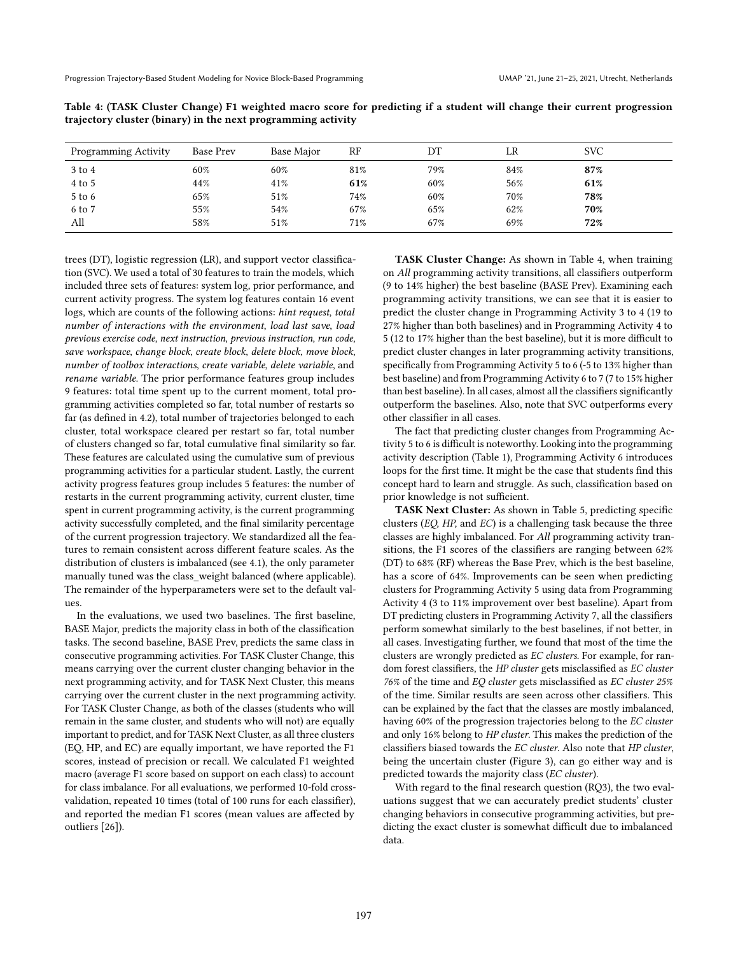| <b>Programming Activity</b> | Base Prev | Base Major | $_{RF}$ | DΤ  | LR  | <b>SVC</b> |
|-----------------------------|-----------|------------|---------|-----|-----|------------|
| $3$ to $4$                  | 60%       | 60%        | 81%     | 79% | 84% | 87%        |
| 4 to 5                      | 44%       | 41%        | 61%     | 60% | 56% | 61%        |
| $5$ to $6$                  | 65%       | 51%        | 74%     | 60% | 70% | 78%        |
| 6 to 7                      | 55%       | 54%        | 67%     | 65% | 62% | 70%        |
| All                         | 58%       | 51%        | 71%     | 67% | 69% | 72%        |

<span id="page-8-0"></span>Table 4: (TASK Cluster Change) F1 weighted macro score for predicting if a student will change their current progression trajectory cluster (binary) in the next programming activity

trees (DT), logistic regression (LR), and support vector classification (SVC). We used a total of 30 features to train the models, which included three sets of features: system log, prior performance, and current activity progress. The system log features contain 16 event logs, which are counts of the following actions: hint request, total number of interactions with the environment, load last save, load previous exercise code, next instruction, previous instruction, run code, save workspace, change block, create block, delete block, move block, number of toolbox interactions, create variable, delete variable, and rename variable. The prior performance features group includes 9 features: total time spent up to the current moment, total programming activities completed so far, total number of restarts so far (as defined in 4.2), total number of trajectories belonged to each cluster, total workspace cleared per restart so far, total number of clusters changed so far, total cumulative final similarity so far. These features are calculated using the cumulative sum of previous programming activities for a particular student. Lastly, the current activity progress features group includes 5 features: the number of restarts in the current programming activity, current cluster, time spent in current programming activity, is the current programming activity successfully completed, and the final similarity percentage of the current progression trajectory. We standardized all the features to remain consistent across different feature scales. As the distribution of clusters is imbalanced (see 4.1), the only parameter manually tuned was the class\_weight balanced (where applicable). The remainder of the hyperparameters were set to the default values.

In the evaluations, we used two baselines. The first baseline, BASE Major, predicts the majority class in both of the classification tasks. The second baseline, BASE Prev, predicts the same class in consecutive programming activities. For TASK Cluster Change, this means carrying over the current cluster changing behavior in the next programming activity, and for TASK Next Cluster, this means carrying over the current cluster in the next programming activity. For TASK Cluster Change, as both of the classes (students who will remain in the same cluster, and students who will not) are equally important to predict, and for TASK Next Cluster, as all three clusters (EQ, HP, and EC) are equally important, we have reported the F1 scores, instead of precision or recall. We calculated F1 weighted macro (average F1 score based on support on each class) to account for class imbalance. For all evaluations, we performed 10-fold crossvalidation, repeated 10 times (total of 100 runs for each classifier), and reported the median F1 scores (mean values are affected by outliers [\[26\]](#page-10-42)).

TASK Cluster Change: As shown in Table [4,](#page-8-0) when training on All programming activity transitions, all classifiers outperform (9 to 14% higher) the best baseline (BASE Prev). Examining each programming activity transitions, we can see that it is easier to predict the cluster change in Programming Activity 3 to 4 (19 to 27% higher than both baselines) and in Programming Activity 4 to 5 (12 to 17% higher than the best baseline), but it is more difficult to predict cluster changes in later programming activity transitions, specifically from Programming Activity 5 to 6 (-5 to 13% higher than best baseline) and from Programming Activity 6 to 7 (7 to 15% higher than best baseline). In all cases, almost all the classifiers significantly outperform the baselines. Also, note that SVC outperforms every other classifier in all cases.

The fact that predicting cluster changes from Programming Activity 5 to 6 is difficult is noteworthy. Looking into the programming activity description (Table [1\)](#page-3-0), Programming Activity 6 introduces loops for the first time. It might be the case that students find this concept hard to learn and struggle. As such, classification based on prior knowledge is not sufficient.

TASK Next Cluster: As shown in Table [5,](#page-9-0) predicting specific clusters (EQ, HP, and EC) is a challenging task because the three classes are highly imbalanced. For All programming activity transitions, the F1 scores of the classifiers are ranging between 62% (DT) to 68% (RF) whereas the Base Prev, which is the best baseline, has a score of 64%. Improvements can be seen when predicting clusters for Programming Activity 5 using data from Programming Activity 4 (3 to 11% improvement over best baseline). Apart from DT predicting clusters in Programming Activity 7, all the classifiers perform somewhat similarly to the best baselines, if not better, in all cases. Investigating further, we found that most of the time the clusters are wrongly predicted as EC clusters. For example, for random forest classifiers, the HP cluster gets misclassified as EC cluster 76% of the time and EQ cluster gets misclassified as EC cluster 25% of the time. Similar results are seen across other classifiers. This can be explained by the fact that the classes are mostly imbalanced, having 60% of the progression trajectories belong to the EC cluster and only 16% belong to HP cluster. This makes the prediction of the classifiers biased towards the EC cluster. Also note that HP cluster, being the uncertain cluster (Figure [3\)](#page-5-0), can go either way and is predicted towards the majority class (EC cluster).

With regard to the final research question (RQ3), the two evaluations suggest that we can accurately predict students' cluster changing behaviors in consecutive programming activities, but predicting the exact cluster is somewhat difficult due to imbalanced data.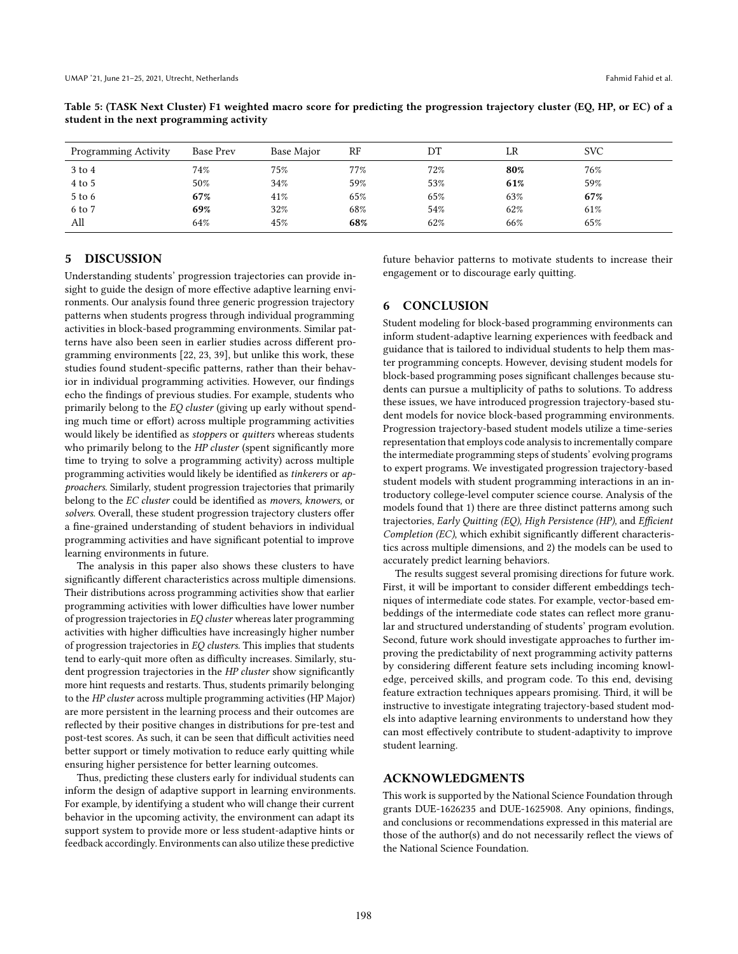| <b>Programming Activity</b> | Base Prev | Base Major | RF     | DТ  | LR  | <b>SVC</b> |
|-----------------------------|-----------|------------|--------|-----|-----|------------|
| 3 to 4                      | 74%       | 75%        | $77\%$ | 72% | 80% | 76%        |
| $4$ to 5                    | 50%       | 34%        | 59%    | 53% | 61% | 59%        |
| $5$ to $6$                  | 67%       | 41%        | 65%    | 65% | 63% | 67%        |
| 6 to 7                      | 69%       | 32%        | 68%    | 54% | 62% | 61%        |
| All                         | 64%       | 45%        | 68%    | 62% | 66% | 65%        |

<span id="page-9-0"></span>Table 5: (TASK Next Cluster) F1 weighted macro score for predicting the progression trajectory cluster (EQ, HP, or EC) of a student in the next programming activity

# 5 DISCUSSION

Understanding students' progression trajectories can provide insight to guide the design of more effective adaptive learning environments. Our analysis found three generic progression trajectory patterns when students progress through individual programming activities in block-based programming environments. Similar patterns have also been seen in earlier studies across different programming environments [\[22,](#page-10-13) [23,](#page-10-22) [39\]](#page-10-14), but unlike this work, these studies found student-specific patterns, rather than their behavior in individual programming activities. However, our findings echo the findings of previous studies. For example, students who primarily belong to the EQ cluster (giving up early without spending much time or effort) across multiple programming activities would likely be identified as stoppers or quitters whereas students who primarily belong to the HP cluster (spent significantly more time to trying to solve a programming activity) across multiple programming activities would likely be identified as tinkerers or approachers. Similarly, student progression trajectories that primarily belong to the EC cluster could be identified as movers, knowers, or solvers. Overall, these student progression trajectory clusters offer a fine-grained understanding of student behaviors in individual programming activities and have significant potential to improve learning environments in future.

The analysis in this paper also shows these clusters to have significantly different characteristics across multiple dimensions. Their distributions across programming activities show that earlier programming activities with lower difficulties have lower number of progression trajectories in EQ cluster whereas later programming activities with higher difficulties have increasingly higher number of progression trajectories in EQ clusters. This implies that students tend to early-quit more often as difficulty increases. Similarly, student progression trajectories in the HP cluster show significantly more hint requests and restarts. Thus, students primarily belonging to the HP cluster across multiple programming activities (HP Major) are more persistent in the learning process and their outcomes are reflected by their positive changes in distributions for pre-test and post-test scores. As such, it can be seen that difficult activities need better support or timely motivation to reduce early quitting while ensuring higher persistence for better learning outcomes.

Thus, predicting these clusters early for individual students can inform the design of adaptive support in learning environments. For example, by identifying a student who will change their current behavior in the upcoming activity, the environment can adapt its support system to provide more or less student-adaptive hints or feedback accordingly. Environments can also utilize these predictive

future behavior patterns to motivate students to increase their engagement or to discourage early quitting.

# 6 CONCLUSION

Student modeling for block-based programming environments can inform student-adaptive learning experiences with feedback and guidance that is tailored to individual students to help them master programming concepts. However, devising student models for block-based programming poses significant challenges because students can pursue a multiplicity of paths to solutions. To address these issues, we have introduced progression trajectory-based student models for novice block-based programming environments. Progression trajectory-based student models utilize a time-series representation that employs code analysis to incrementally compare the intermediate programming steps of students' evolving programs to expert programs. We investigated progression trajectory-based student models with student programming interactions in an introductory college-level computer science course. Analysis of the models found that 1) there are three distinct patterns among such trajectories, Early Quitting (EQ), High Persistence (HP), and Efficient Completion (EC), which exhibit significantly different characteristics across multiple dimensions, and 2) the models can be used to accurately predict learning behaviors.

The results suggest several promising directions for future work. First, it will be important to consider different embeddings techniques of intermediate code states. For example, vector-based embeddings of the intermediate code states can reflect more granular and structured understanding of students' program evolution. Second, future work should investigate approaches to further improving the predictability of next programming activity patterns by considering different feature sets including incoming knowledge, perceived skills, and program code. To this end, devising feature extraction techniques appears promising. Third, it will be instructive to investigate integrating trajectory-based student models into adaptive learning environments to understand how they can most effectively contribute to student-adaptivity to improve student learning.

# ACKNOWLEDGMENTS

This work is supported by the National Science Foundation through grants DUE-1626235 and DUE-1625908. Any opinions, findings, and conclusions or recommendations expressed in this material are those of the author(s) and do not necessarily reflect the views of the National Science Foundation.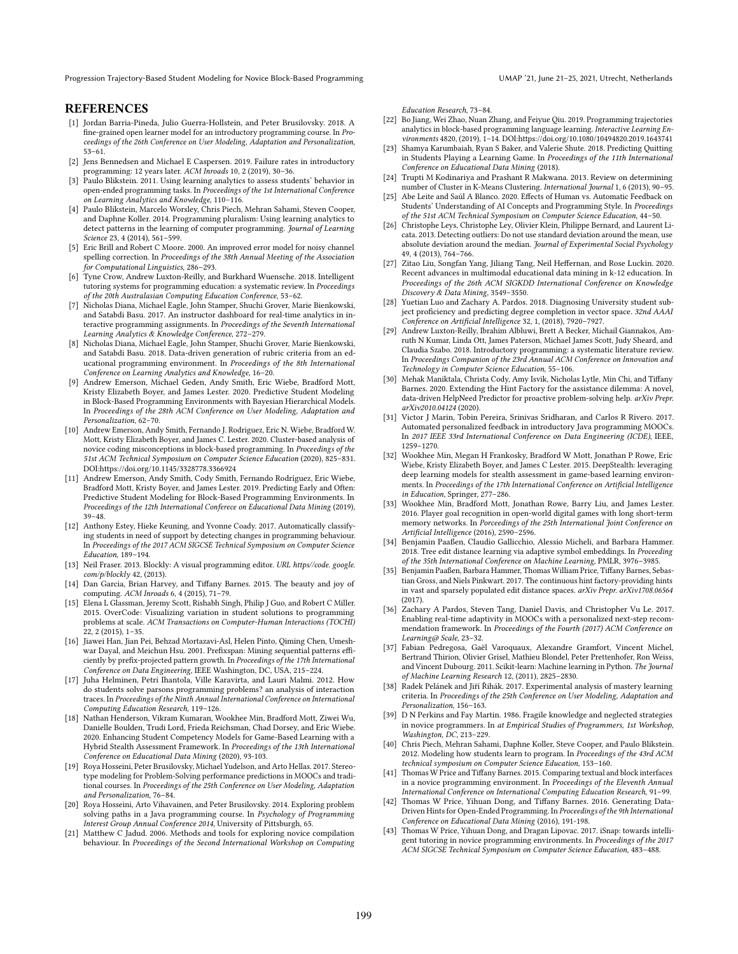Progression Trajectory-Based Student Modeling for Novice Block-Based Programming UMAP '21, June 21-25, 2021, Utrecht, Netherlands

# **REFERENCES**

- <span id="page-10-27"></span>[1] Jordan Barria-Pineda, Julio Guerra-Hollstein, and Peter Brusilovsky. 2018. A fine-grained open learner model for an introductory programming course. In Proceedings of the 26th Conference on User Modeling, Adaptation and Personalization, 53–61.
- <span id="page-10-0"></span>[2] Jens Bennedsen and Michael E Caspersen. 2019. Failure rates in introductory programming: 12 years later. ACM Inroads 10, 2 (2019), 30–36.
- <span id="page-10-32"></span>[3] Paulo Blikstein. 2011. Using learning analytics to assess students' behavior in open-ended programming tasks. In Proceedings of the 1st International Conference on Learning Analytics and Knowledge, 110–116.
- <span id="page-10-30"></span>[4] Paulo Blikstein, Marcelo Worsley, Chris Piech, Mehran Sahami, Steven Cooper, and Daphne Koller. 2014. Programming pluralism: Using learning analytics to detect patterns in the learning of computer programming. Journal of Learning Science 23, 4 (2014), 561–599.
- <span id="page-10-38"></span>[5] Eric Brill and Robert C Moore. 2000. An improved error model for noisy channel spelling correction. In Proceedings of the 38th Annual Meeting of the Association for Computational Linguistics, 286–293.
- <span id="page-10-37"></span>[6] Tyne Crow, Andrew Luxton-Reilly, and Burkhard Wuensche. 2018. Intelligent tutoring systems for programming education: a systematic review. In Proceedings of the 20th Australasian Computing Education Conference, 53–62.
- <span id="page-10-9"></span>[7] Nicholas Diana, Michael Eagle, John Stamper, Shuchi Grover, Marie Bienkowski, and Satabdi Basu. 2017. An instructor dashboard for real-time analytics in interactive programming assignments. In Proceedings of the Seventh International Learning Analytics & Knowledge Conference, 272–279.
- <span id="page-10-10"></span>[8] Nicholas Diana, Michael Eagle, John Stamper, Shuchi Grover, Marie Bienkowski, and Satabdi Basu. 2018. Data-driven generation of rubric criteria from an educational programming environment. In Proceedings of the 8th International Conference on Learning Analytics and Knowledge, 16–20.
- <span id="page-10-7"></span>[9] Andrew Emerson, Michael Geden, Andy Smith, Eric Wiebe, Bradford Mott, Kristy Elizabeth Boyer, and James Lester. 2020. Predictive Student Modeling in Block-Based Programming Environments with Bayesian Hierarchical Models. In Proceedings of the 28th ACM Conference on User Modeling, Adaptation and Personalization, 62–70.
- <span id="page-10-35"></span>[10] Andrew Emerson, Andy Smith, Fernando J. Rodriguez, Eric N. Wiebe, Bradford W. Mott, Kristy Elizabeth Boyer, and James C. Lester. 2020. Cluster-based analysis of novice coding misconceptions in block-based programming. In Proceedings of the 51st ACM Technical Symposium on Computer Science Education (2020), 825–831. DOI[:https://doi.org/10.1145/3328778.3366924](https://doi.org/10.1145/3328778.3366924)
- <span id="page-10-11"></span>[11] Andrew Emerson, Andy Smith, Cody Smith, Fernando Rodríguez, Eric Wiebe, Bradford Mott, Kristy Boyer, and James Lester. 2019. Predicting Early and Often: Predictive Student Modeling for Block-Based Programming Environments. In Proceedings of the 12th International Conferece on Educational Data Mining (2019), 39–48.
- <span id="page-10-12"></span>[12] Anthony Estey, Hieke Keuning, and Yvonne Coady. 2017. Automatically classifying students in need of support by detecting changes in programming behaviour. In Proceedings of the 2017 ACM SIGCSE Technical Symposium on Computer Science Education, 189–194.
- <span id="page-10-2"></span>[13] Neil Fraser. 2013. Blockly: A visual programming editor. URL https//code. google. com/p/blockly 42, (2013).
- <span id="page-10-1"></span>[14] Dan Garcia, Brian Harvey, and Tiffany Barnes. 2015. The beauty and joy of computing. ACM Inroads 6, 4 (2015), 71–79.
- <span id="page-10-33"></span>[15] Elena L Glassman, Jeremy Scott, Rishabh Singh, Philip J Guo, and Robert C Miller. 2015. OverCode: Visualizing variation in student solutions to programming problems at scale. ACM Transactions on Computer-Human Interactions (TOCHI) 22, 2 (2015), 1–35.
- <span id="page-10-40"></span>[16] Jiawei Han, Jian Pei, Behzad Mortazavi-Asl, Helen Pinto, Qiming Chen, Umeshwar Dayal, and Meichun Hsu. 2001. Prefixspan: Mining sequential patterns efficiently by prefix-projected pattern growth. In Proceedings of the 17th International Conference on Data Engineering, IEEE Washington, DC, USA, 215–224.
- <span id="page-10-28"></span>[17] Juha Helminen, Petri Ihantola, Ville Karavirta, and Lauri Malmi. 2012. How do students solve parsons programming problems? an analysis of interaction traces. In Proceedings of the Ninth Annual International Conference on International Computing Education Research, 119–126.
- <span id="page-10-25"></span>[18] Nathan Henderson, Vikram Kumaran, Wookhee Min, Bradford Mott, Ziwei Wu, Danielle Boulden, Trudi Lord, Frieda Reichsman, Chad Dorsey, and Eric Wiebe. 2020. Enhancing Student Competency Models for Game-Based Learning with a Hybrid Stealth Assessment Framework. In Proceedings of the 13th International Conference on Educational Data Mining (2020), 93-103.
- <span id="page-10-16"></span>[19] Roya Hosseini, Peter Brusilovsky, Michael Yudelson, and Arto Hellas. 2017. Stereotype modeling for Problem-Solving performance predictions in MOOCs and traditional courses. In Proceedings of the 25th Conference on User Modeling, Adaptation and Personalization, 76–84.
- <span id="page-10-29"></span>[20] Roya Hosseini, Arto Vihavainen, and Peter Brusilovsky. 2014. Exploring problem solving paths in a Java programming course. In Psychology of Programming Interest Group Annual Conference 2014, University of Pittsburgh, 65.
- <span id="page-10-36"></span>[21] Matthew C Jadud. 2006. Methods and tools for exploring novice compilation behaviour. In Proceedings of the Second International Workshop on Computing

Education Research, 73–84.

- <span id="page-10-13"></span>[22] Bo Jiang, Wei Zhao, Nuan Zhang, and Feiyue Qiu. 2019. Programming trajectories analytics in block-based programming language learning. Interactive Learning Environments 4820, (2019), 1–14. DOI[:https://doi.org/10.1080/10494820.2019.1643741](https://doi.org/10.1080/10494820.2019.1643741)
- <span id="page-10-22"></span>[23] Shamya Karumbaiah, Ryan S Baker, and Valerie Shute. 2018. Predicting Quitting in Students Playing a Learning Game. In Proceedings of the 11th International Conference on Educational Data Mining (2018).
- <span id="page-10-39"></span>[24] Trupti M Kodinariya and Prashant R Makwana. 2013. Review on determining number of Cluster in K-Means Clustering. International Journal 1, 6 (2013), 90–95.
- <span id="page-10-20"></span>[25] Abe Leite and Saúl A Blanco. 2020. Effects of Human vs. Automatic Feedback on Students' Understanding of AI Concepts and Programming Style. In Proceedings of the 51st ACM Technical Symposium on Computer Science Education, 44–50.
- <span id="page-10-42"></span>[26] Christophe Leys, Christophe Ley, Olivier Klein, Philippe Bernard, and Laurent Licata. 2013. Detecting outliers: Do not use standard deviation around the mean, use absolute deviation around the median. Journal of Experimental Social Psychology 49, 4 (2013), 764–766.
- <span id="page-10-26"></span>[27] Zitao Liu, Songfan Yang, Jiliang Tang, Neil Heffernan, and Rose Luckin. 2020. Recent advances in multimodal educational data mining in k-12 education. In Proceedings of the 26th ACM SIGKDD International Conference on Knowledge Discovery & Data Mining, 3549–3550.
- <span id="page-10-17"></span>[28] Yuetian Luo and Zachary A. Pardos. 2018. Diagnosing University student subject proficiency and predicting degree completion in vector space. 32nd AAAI Conference on Artificial Intelligence 32, 1, (2018), 7920–7927.
- <span id="page-10-3"></span>[29] Andrew Luxton-Reilly, Ibrahim Albluwi, Brett A Becker, Michail Giannakos, Amruth N Kumar, Linda Ott, James Paterson, Michael James Scott, Judy Sheard, and Claudia Szabo. 2018. Introductory programming: a systematic literature review. In Proceedings Companion of the 23rd Annual ACM Conference on Innovation and Technology in Computer Science Education, 55–106.
- <span id="page-10-5"></span>[30] Mehak Maniktala, Christa Cody, Amy Isvik, Nicholas Lytle, Min Chi, and Tiffany Barnes. 2020. Extending the Hint Factory for the assistance dilemma: A novel, data-driven HelpNeed Predictor for proactive problem-solving help. arXiv Prepr. arXiv2010.04124 (2020).
- <span id="page-10-18"></span>[31] Victor J Marin, Tobin Pereira, Srinivas Sridharan, and Carlos R Rivero. 2017. Automated personalized feedback in introductory Java programming MOOCs. In 2017 IEEE 33rd International Conference on Data Engineering (ICDE), IEEE, 1259–1270.
- <span id="page-10-23"></span>[32] Wookhee Min, Megan H Frankosky, Bradford W Mott, Jonathan P Rowe, Eric Wiebe, Kristy Elizabeth Boyer, and James C Lester. 2015. DeepStealth: leveraging deep learning models for stealth assessment in game-based learning environments. In Proceedings of the 17th International Conference on Artificial Intelligence in Education, Springer, 277–286.
- <span id="page-10-24"></span>[33] Wookhee Min, Bradford Mott, Jonathan Rowe, Barry Liu, and James Lester. 2016. Player goal recognition in open-world digital games with long short-term memory networks. In Porceedings of the 25th International Joint Conference on Artificial Intelligence (2016), 2590–2596.
- <span id="page-10-8"></span>[34] Benjamin Paaßen, Claudio Gallicchio, Alessio Micheli, and Barbara Hammer. 2018. Tree edit distance learning via adaptive symbol embeddings. In Proceeding of the 35th International Conference on Machine Learning, PMLR, 3976–3985.
- <span id="page-10-34"></span>[35] Benjamin Paaßen, Barbara Hammer, Thomas William Price, Tiffany Barnes, Sebastian Gross, and Niels Pinkwart. 2017. The continuous hint factory-providing hints in vast and sparsely populated edit distance spaces. arXiv Prepr. arXiv1708.06564 (2017).
- <span id="page-10-19"></span>[36] Zachary A Pardos, Steven Tang, Daniel Davis, and Christopher Vu Le. 2017. Enabling real-time adaptivity in MOOCs with a personalized next-step recommendation framework. In Proceedings of the Fourth (2017) ACM Conference on Learning@ Scale, 23–32.
- <span id="page-10-41"></span>[37] Fabian Pedregosa, Gaël Varoquaux, Alexandre Gramfort, Vincent Michel, Bertrand Thirion, Olivier Grisel, Mathieu Blondel, Peter Prettenhofer, Ron Weiss, and Vincent Dubourg. 2011. Scikit-learn: Machine learning in Python. The Journal of Machine Learning Research 12, (2011), 2825–2830.
- <span id="page-10-21"></span>[38] Radek Pelánek and Jiří Řihák. 2017. Experimental analysis of mastery learning criteria. In Proceedings of the 25th Conference on User Modeling, Adaptation and Personalization, 156–163.
- <span id="page-10-14"></span>[39] D N Perkins and Fay Martin. 1986. Fragile knowledge and neglected strategies in novice programmers. In at Empirical Studies of Programmers, 1st Workshop, Washington, DC, 213–229.
- <span id="page-10-31"></span>[40] Chris Piech, Mehran Sahami, Daphne Koller, Steve Cooper, and Paulo Blikstein. 2012. Modeling how students learn to program. In Proceedings of the 43rd ACM technical symposium on Computer Science Education, 153–160.
- <span id="page-10-4"></span>[41] Thomas W Price and Tiffany Barnes. 2015. Comparing textual and block interfaces in a novice programming environment. In Proceedings of the Eleventh Annual International Conference on International Computing Education Research, 91–99.
- <span id="page-10-6"></span>[42] Thomas W Price, Yihuan Dong, and Tiffany Barnes. 2016. Generating Data-Driven Hints for Open-Ended Programming. In Proceedings of the 9th International Conference on Educational Data Mining (2016), 191-198.
- <span id="page-10-15"></span>[43] Thomas W Price, Yihuan Dong, and Dragan Lipovac. 2017. iSnap: towards intelligent tutoring in novice programming environments. In Proceedings of the 2017 ACM SIGCSE Technical Symposium on Computer Science Education, 483–488.